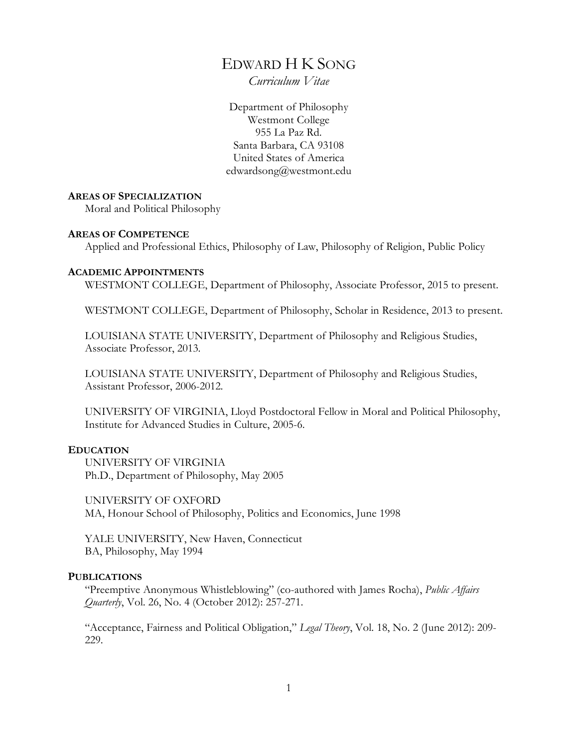# EDWARD H K SONG

*Curriculum Vitae*

Department of Philosophy Westmont College 955 La Paz Rd. Santa Barbara, CA 93108 United States of America edwardsong@westmont.edu

#### **AREAS OF SPECIALIZATION**

Moral and Political Philosophy

#### **AREAS OF COMPETENCE**

Applied and Professional Ethics, Philosophy of Law, Philosophy of Religion, Public Policy

#### **ACADEMIC APPOINTMENTS**

WESTMONT COLLEGE, Department of Philosophy, Associate Professor, 2015 to present.

WESTMONT COLLEGE, Department of Philosophy, Scholar in Residence, 2013 to present.

LOUISIANA STATE UNIVERSITY, Department of Philosophy and Religious Studies, Associate Professor, 2013.

LOUISIANA STATE UNIVERSITY, Department of Philosophy and Religious Studies, Assistant Professor, 2006-2012.

UNIVERSITY OF VIRGINIA, Lloyd Postdoctoral Fellow in Moral and Political Philosophy, Institute for Advanced Studies in Culture, 2005-6.

## **EDUCATION**

UNIVERSITY OF VIRGINIA Ph.D., Department of Philosophy, May 2005

UNIVERSITY OF OXFORD MA, Honour School of Philosophy, Politics and Economics, June 1998

YALE UNIVERSITY, New Haven, Connecticut BA, Philosophy, May 1994

## **PUBLICATIONS**

"Preemptive Anonymous Whistleblowing" (co-authored with James Rocha), *Public Affairs Quarterly*, Vol. 26, No. 4 (October 2012): 257-271.

"Acceptance, Fairness and Political Obligation," *Legal Theory*, Vol. 18, No. 2 (June 2012): 209- 229.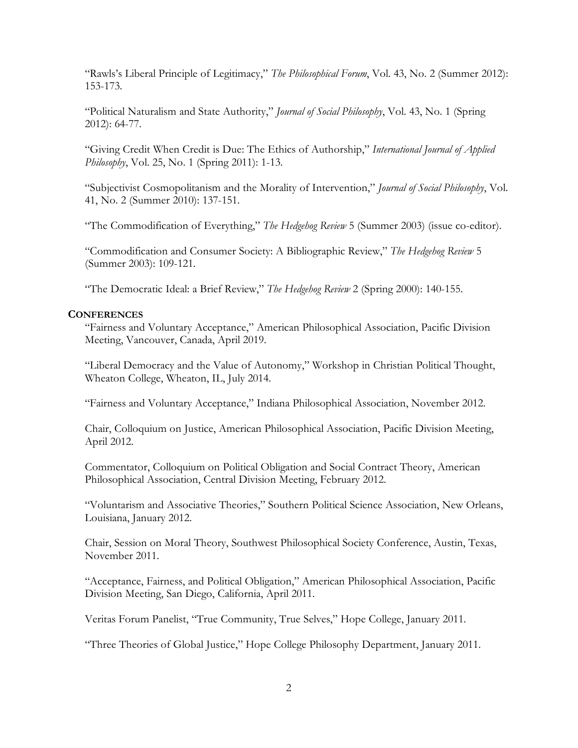"Rawls's Liberal Principle of Legitimacy," *The Philosophical Forum*, Vol. 43, No. 2 (Summer 2012): 153-173.

"Political Naturalism and State Authority," *Journal of Social Philosophy*, Vol. 43, No. 1 (Spring 2012): 64-77.

"Giving Credit When Credit is Due: The Ethics of Authorship," *International Journal of Applied Philosophy*, Vol. 25, No. 1 (Spring 2011): 1-13.

"Subjectivist Cosmopolitanism and the Morality of Intervention," *Journal of Social Philosophy*, Vol. 41, No. 2 (Summer 2010): 137-151.

"The Commodification of Everything," *The Hedgehog Review* 5 (Summer 2003) (issue co-editor).

"Commodification and Consumer Society: A Bibliographic Review," *The Hedgehog Review* 5 (Summer 2003): 109-121.

"The Democratic Ideal: a Brief Review," *The Hedgehog Review* 2 (Spring 2000): 140-155.

## **CONFERENCES**

"Fairness and Voluntary Acceptance," American Philosophical Association, Pacific Division Meeting, Vancouver, Canada, April 2019.

"Liberal Democracy and the Value of Autonomy," Workshop in Christian Political Thought, Wheaton College, Wheaton, IL, July 2014.

"Fairness and Voluntary Acceptance," Indiana Philosophical Association, November 2012.

Chair, Colloquium on Justice, American Philosophical Association, Pacific Division Meeting, April 2012.

Commentator, Colloquium on Political Obligation and Social Contract Theory, American Philosophical Association, Central Division Meeting, February 2012.

"Voluntarism and Associative Theories," Southern Political Science Association, New Orleans, Louisiana, January 2012.

Chair, Session on Moral Theory, Southwest Philosophical Society Conference, Austin, Texas, November 2011.

"Acceptance, Fairness, and Political Obligation," American Philosophical Association, Pacific Division Meeting, San Diego, California, April 2011.

Veritas Forum Panelist, "True Community, True Selves," Hope College, January 2011.

"Three Theories of Global Justice," Hope College Philosophy Department, January 2011.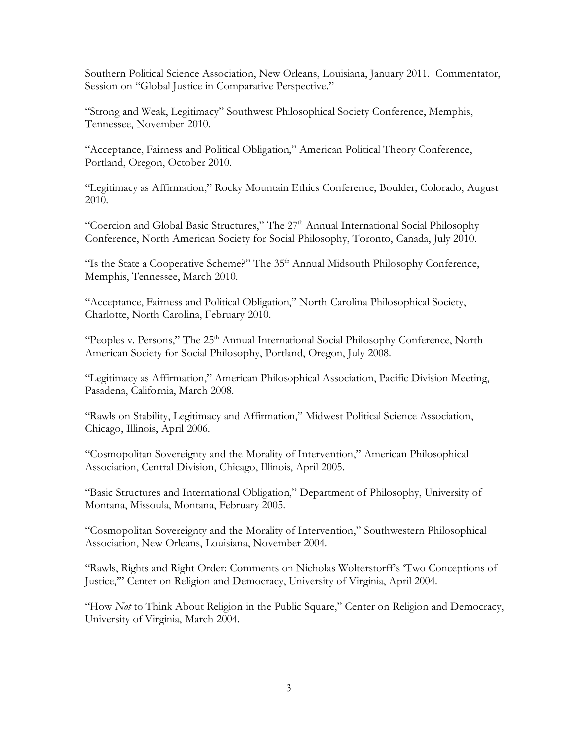Southern Political Science Association, New Orleans, Louisiana, January 2011. Commentator, Session on "Global Justice in Comparative Perspective."

"Strong and Weak, Legitimacy" Southwest Philosophical Society Conference, Memphis, Tennessee, November 2010.

"Acceptance, Fairness and Political Obligation," American Political Theory Conference, Portland, Oregon, October 2010.

"Legitimacy as Affirmation," Rocky Mountain Ethics Conference, Boulder, Colorado, August 2010.

"Coercion and Global Basic Structures," The 27<sup>th</sup> Annual International Social Philosophy Conference, North American Society for Social Philosophy, Toronto, Canada, July 2010.

"Is the State a Cooperative Scheme?" The  $35<sup>th</sup>$  Annual Midsouth Philosophy Conference, Memphis, Tennessee, March 2010.

"Acceptance, Fairness and Political Obligation," North Carolina Philosophical Society, Charlotte, North Carolina, February 2010.

"Peoples v. Persons," The 25<sup>th</sup> Annual International Social Philosophy Conference, North American Society for Social Philosophy, Portland, Oregon, July 2008.

"Legitimacy as Affirmation," American Philosophical Association, Pacific Division Meeting, Pasadena, California, March 2008.

"Rawls on Stability, Legitimacy and Affirmation," Midwest Political Science Association, Chicago, Illinois, April 2006.

"Cosmopolitan Sovereignty and the Morality of Intervention," American Philosophical Association, Central Division, Chicago, Illinois, April 2005.

"Basic Structures and International Obligation," Department of Philosophy, University of Montana, Missoula, Montana, February 2005.

"Cosmopolitan Sovereignty and the Morality of Intervention," Southwestern Philosophical Association, New Orleans, Louisiana, November 2004.

"Rawls, Rights and Right Order: Comments on Nicholas Wolterstorff's 'Two Conceptions of Justice,'" Center on Religion and Democracy, University of Virginia, April 2004.

"How *Not* to Think About Religion in the Public Square," Center on Religion and Democracy, University of Virginia, March 2004.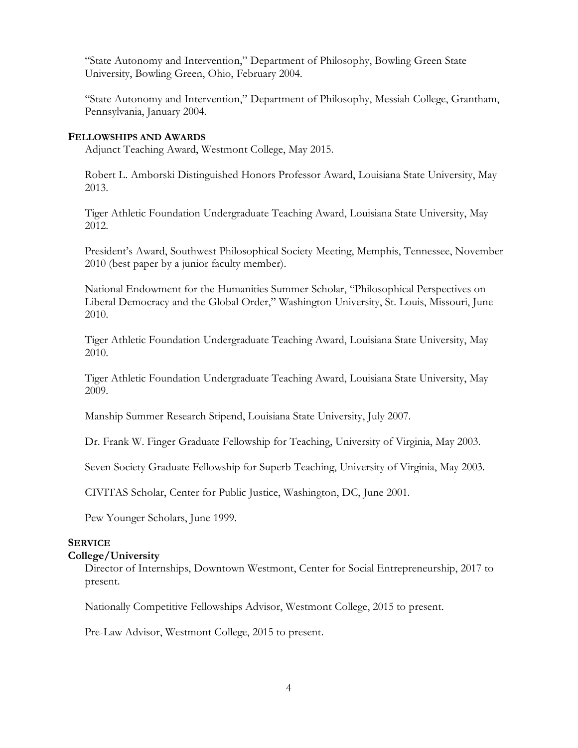"State Autonomy and Intervention," Department of Philosophy, Bowling Green State University, Bowling Green, Ohio, February 2004.

"State Autonomy and Intervention," Department of Philosophy, Messiah College, Grantham, Pennsylvania, January 2004.

#### **FELLOWSHIPS AND AWARDS**

Adjunct Teaching Award, Westmont College, May 2015.

Robert L. Amborski Distinguished Honors Professor Award, Louisiana State University, May 2013.

Tiger Athletic Foundation Undergraduate Teaching Award, Louisiana State University, May 2012.

President's Award, Southwest Philosophical Society Meeting, Memphis, Tennessee, November 2010 (best paper by a junior faculty member).

National Endowment for the Humanities Summer Scholar, "Philosophical Perspectives on Liberal Democracy and the Global Order," Washington University, St. Louis, Missouri, June 2010.

Tiger Athletic Foundation Undergraduate Teaching Award, Louisiana State University, May 2010.

Tiger Athletic Foundation Undergraduate Teaching Award, Louisiana State University, May 2009.

Manship Summer Research Stipend, Louisiana State University, July 2007.

Dr. Frank W. Finger Graduate Fellowship for Teaching, University of Virginia, May 2003.

Seven Society Graduate Fellowship for Superb Teaching, University of Virginia, May 2003.

CIVITAS Scholar, Center for Public Justice, Washington, DC, June 2001.

Pew Younger Scholars, June 1999.

## **SERVICE College/University**

Director of Internships, Downtown Westmont, Center for Social Entrepreneurship, 2017 to present.

Nationally Competitive Fellowships Advisor, Westmont College, 2015 to present.

Pre-Law Advisor, Westmont College, 2015 to present.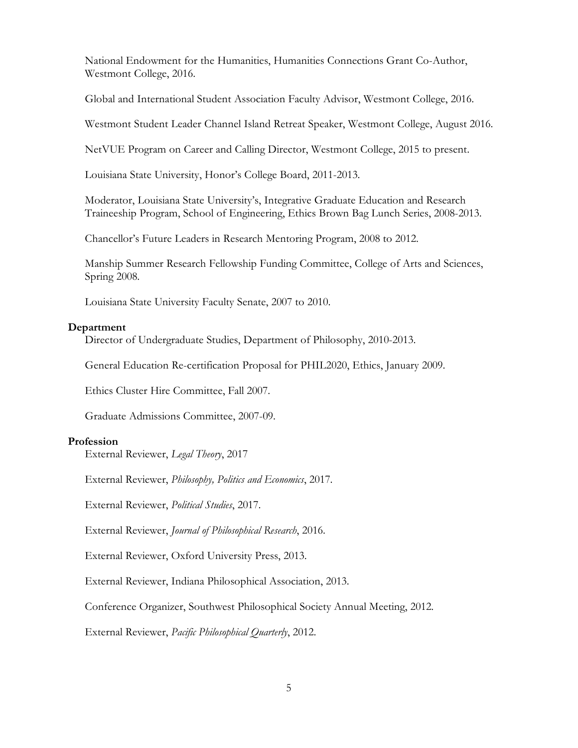National Endowment for the Humanities, Humanities Connections Grant Co-Author, Westmont College, 2016.

Global and International Student Association Faculty Advisor, Westmont College, 2016.

Westmont Student Leader Channel Island Retreat Speaker, Westmont College, August 2016.

NetVUE Program on Career and Calling Director, Westmont College, 2015 to present.

Louisiana State University, Honor's College Board, 2011-2013.

Moderator, Louisiana State University's, Integrative Graduate Education and Research Traineeship Program, School of Engineering, Ethics Brown Bag Lunch Series, 2008-2013.

Chancellor's Future Leaders in Research Mentoring Program, 2008 to 2012.

Manship Summer Research Fellowship Funding Committee, College of Arts and Sciences, Spring 2008.

Louisiana State University Faculty Senate, 2007 to 2010.

## **Department**

Director of Undergraduate Studies, Department of Philosophy, 2010-2013.

General Education Re-certification Proposal for PHIL2020, Ethics, January 2009.

Ethics Cluster Hire Committee, Fall 2007.

Graduate Admissions Committee, 2007-09.

#### **Profession**

External Reviewer, *Legal Theory*, 2017

External Reviewer, *Philosophy, Politics and Economics*, 2017.

External Reviewer, *Political Studies*, 2017.

External Reviewer, *Journal of Philosophical Research*, 2016.

External Reviewer, Oxford University Press, 2013.

External Reviewer, Indiana Philosophical Association, 2013.

Conference Organizer, Southwest Philosophical Society Annual Meeting, 2012.

External Reviewer, *Pacific Philosophical Quarterly*, 2012.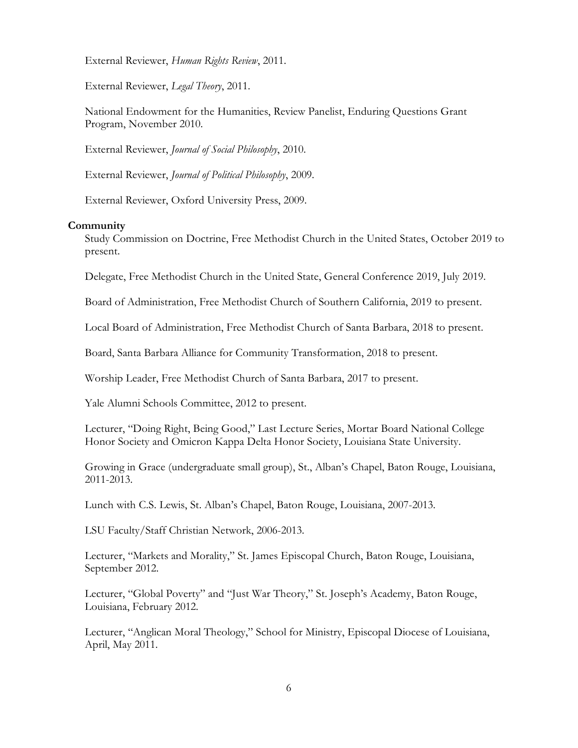External Reviewer, *Human Rights Review*, 2011.

External Reviewer, *Legal Theory*, 2011.

National Endowment for the Humanities, Review Panelist, Enduring Questions Grant Program, November 2010.

External Reviewer, *Journal of Social Philosophy*, 2010.

External Reviewer, *Journal of Political Philosophy*, 2009.

External Reviewer, Oxford University Press, 2009.

#### **Community**

Study Commission on Doctrine, Free Methodist Church in the United States, October 2019 to present.

Delegate, Free Methodist Church in the United State, General Conference 2019, July 2019.

Board of Administration, Free Methodist Church of Southern California, 2019 to present.

Local Board of Administration, Free Methodist Church of Santa Barbara, 2018 to present.

Board, Santa Barbara Alliance for Community Transformation, 2018 to present.

Worship Leader, Free Methodist Church of Santa Barbara, 2017 to present.

Yale Alumni Schools Committee, 2012 to present.

Lecturer, "Doing Right, Being Good," Last Lecture Series, Mortar Board National College Honor Society and Omicron Kappa Delta Honor Society, Louisiana State University.

Growing in Grace (undergraduate small group), St., Alban's Chapel, Baton Rouge, Louisiana, 2011-2013.

Lunch with C.S. Lewis, St. Alban's Chapel, Baton Rouge, Louisiana, 2007-2013.

LSU Faculty/Staff Christian Network, 2006-2013.

Lecturer, "Markets and Morality," St. James Episcopal Church, Baton Rouge, Louisiana, September 2012.

Lecturer, "Global Poverty" and "Just War Theory," St. Joseph's Academy, Baton Rouge, Louisiana, February 2012.

Lecturer, "Anglican Moral Theology," School for Ministry, Episcopal Diocese of Louisiana, April, May 2011.